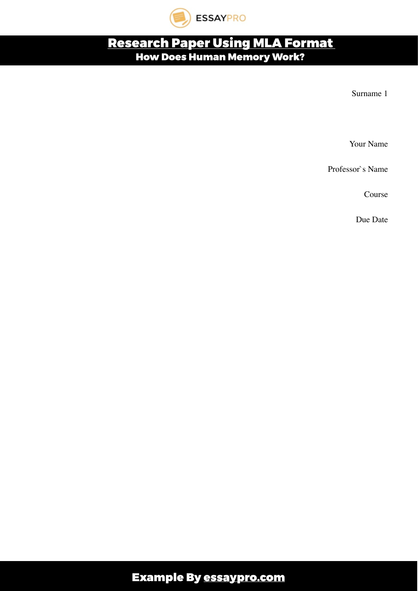

## [Research Paper Using MLA Format](https://essaypro.com/blog/esearch-paper-mla-format/)  How Does Human Memory Work?

Surname 1

Your Name

Professor`s Name

Course

Due Date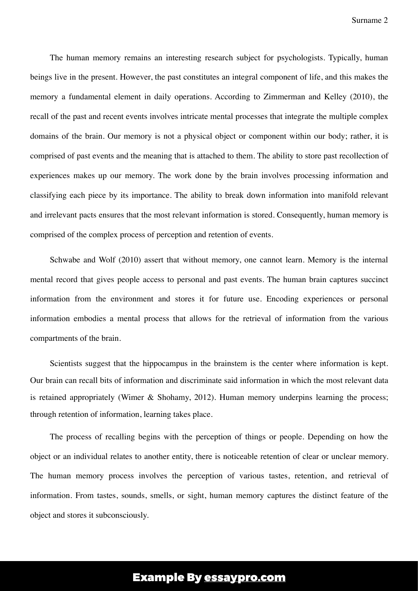The human memory remains an interesting research subject for psychologists. Typically, human beings live in the present. However, the past constitutes an integral component of life, and this makes the memory a fundamental element in daily operations. According to Zimmerman and Kelley (2010), the recall of the past and recent events involves intricate mental processes that integrate the multiple complex domains of the brain. Our memory is not a physical object or component within our body; rather, it is comprised of past events and the meaning that is attached to them. The ability to store past recollection of experiences makes up our memory. The work done by the brain involves processing information and classifying each piece by its importance. The ability to break down information into manifold relevant and irrelevant pacts ensures that the most relevant information is stored. Consequently, human memory is comprised of the complex process of perception and retention of events.

Schwabe and Wolf (2010) assert that without memory, one cannot learn. Memory is the internal mental record that gives people access to personal and past events. The human brain captures succinct information from the environment and stores it for future use. Encoding experiences or personal information embodies a mental process that allows for the retrieval of information from the various compartments of the brain.

Scientists suggest that the hippocampus in the brainstem is the center where information is kept. Our brain can recall bits of information and discriminate said information in which the most relevant data is retained appropriately (Wimer & Shohamy, 2012). Human memory underpins learning the process; through retention of information, learning takes place.

The process of recalling begins with the perception of things or people. Depending on how the object or an individual relates to another entity, there is noticeable retention of clear or unclear memory. The human memory process involves the perception of various tastes, retention, and retrieval of information. From tastes, sounds, smells, or sight, human memory captures the distinct feature of the object and stores it subconsciously.

## Example By [essaypro.com](https://essaypro.com)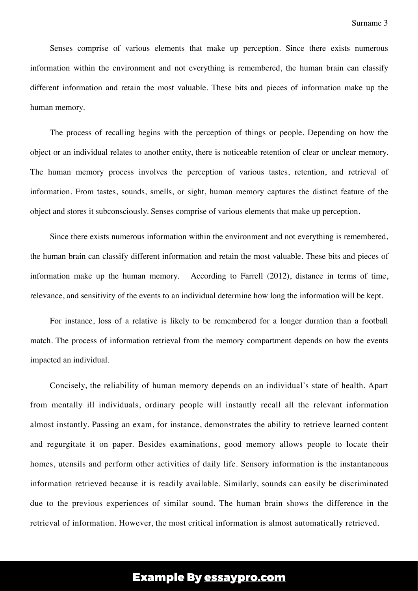Senses comprise of various elements that make up perception. Since there exists numerous information within the environment and not everything is remembered, the human brain can classify different information and retain the most valuable. These bits and pieces of information make up the human memory.

The process of recalling begins with the perception of things or people. Depending on how the object or an individual relates to another entity, there is noticeable retention of clear or unclear memory. The human memory process involves the perception of various tastes, retention, and retrieval of information. From tastes, sounds, smells, or sight, human memory captures the distinct feature of the object and stores it subconsciously. Senses comprise of various elements that make up perception.

Since there exists numerous information within the environment and not everything is remembered, the human brain can classify different information and retain the most valuable. These bits and pieces of information make up the human memory. According to Farrell (2012), distance in terms of time, relevance, and sensitivity of the events to an individual determine how long the information will be kept.

For instance, loss of a relative is likely to be remembered for a longer duration than a football match. The process of information retrieval from the memory compartment depends on how the events impacted an individual.

Concisely, the reliability of human memory depends on an individual's state of health. Apart from mentally ill individuals, ordinary people will instantly recall all the relevant information almost instantly. Passing an exam, for instance, demonstrates the ability to retrieve learned content and regurgitate it on paper. Besides examinations, good memory allows people to locate their homes, utensils and perform other activities of daily life. Sensory information is the instantaneous information retrieved because it is readily available. Similarly, sounds can easily be discriminated due to the previous experiences of similar sound. The human brain shows the difference in the retrieval of information. However, the most critical information is almost automatically retrieved.

## Example By [essaypro.com](https://essaypro.com)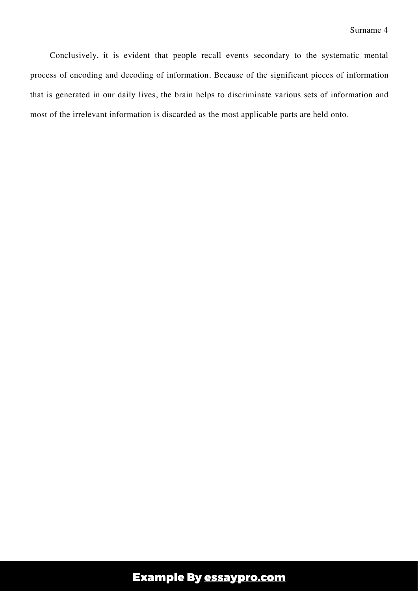Conclusively, it is evident that people recall events secondary to the systematic mental process of encoding and decoding of information. Because of the significant pieces of information that is generated in our daily lives, the brain helps to discriminate various sets of information and most of the irrelevant information is discarded as the most applicable parts are held onto.